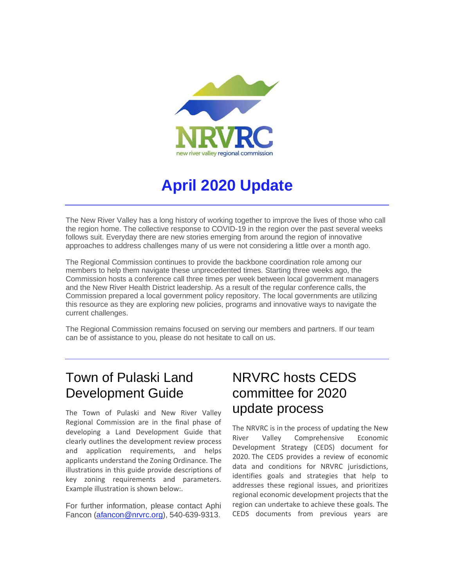

# **April 2020 Update**

The New River Valley has a long history of working together to improve the lives of those who call the region home. The collective response to COVID-19 in the region over the past several weeks follows suit. Everyday there are new stories emerging from around the region of innovative approaches to address challenges many of us were not considering a little over a month ago.

The Regional Commission continues to provide the backbone coordination role among our members to help them navigate these unprecedented times. Starting three weeks ago, the Commission hosts a conference call three times per week between local government managers and the New River Health District leadership. As a result of the regular conference calls, the Commission prepared a local government policy repository. The local governments are utilizing this resource as they are exploring new policies, programs and innovative ways to navigate the current challenges.

The Regional Commission remains focused on serving our members and partners. If our team can be of assistance to you, please do not hesitate to call on us.

#### Town of Pulaski Land Development Guide

The Town of Pulaski and New River Valley Regional Commission are in the final phase of developing a Land Development Guide that clearly outlines the development review process and application requirements, and helps applicants understand the Zoning Ordinance. The illustrations in this guide provide descriptions of key zoning requirements and parameters. Example illustration is shown below:.

For further information, please contact Aphi Fancon [\(afancon@nrvrc.org\)](mailto:afancon@nrvrc.org), 540-639-9313.

## NRVRC hosts CEDS committee for 2020 update process

The NRVRC is in the process of updating the New River Valley Comprehensive Economic Development Strategy (CEDS) document for 2020. The CEDS provides a review of economic data and conditions for NRVRC jurisdictions, identifies goals and strategies that help to addresses these regional issues, and prioritizes regional economic development projects that the region can undertake to achieve these goals. The CEDS documents from previous years are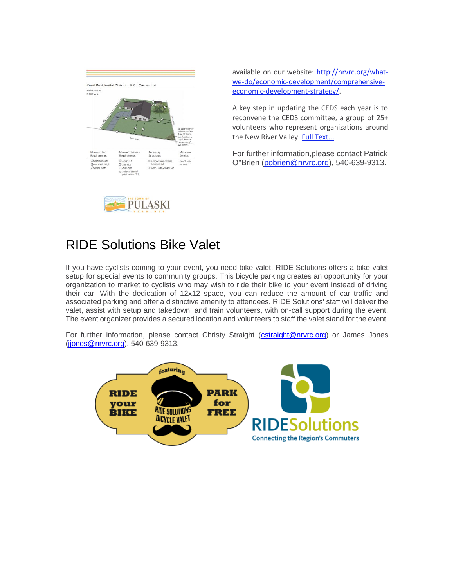

available on our website: [http://nrvrc.org/what](http://r20.rs6.net/tn.jsp?f=001ArYMfd3rf92NyNxTV8ItJu1vl_xoiB6X6TegW8pZwc7TPRM97SyYY36ZDkl9LzxdDxpu4_7s5Q7MtXWZMr1ioRrfuuYUxQUvwklmMGFTEeuKaq32f3-VwnZs0Yenz6v4SM6eiT2Hhk4LiIcf9jgnuU10fZ6nilwPCL-Vrv8cM4OJkGk9ar0elOYDlpoGARwKwjiEhYkBb3WXuPFb6t_FDoazL4A7qM1VbW_V__y4mNd0jSxUXdFL4Q==&c=9o8bVQ4r3wLNeLYHUGJWqF70AvKTXY1ey8fugUh4iphXLCB_CiL3Tw==&ch=y6h1sZOzCdSEaJxh6mY2FQrWrEA-Fbpzt4nPu8u65OFvPAtgG2o2qg==)[we-do/economic-development/comprehensive](http://r20.rs6.net/tn.jsp?f=001ArYMfd3rf92NyNxTV8ItJu1vl_xoiB6X6TegW8pZwc7TPRM97SyYY36ZDkl9LzxdDxpu4_7s5Q7MtXWZMr1ioRrfuuYUxQUvwklmMGFTEeuKaq32f3-VwnZs0Yenz6v4SM6eiT2Hhk4LiIcf9jgnuU10fZ6nilwPCL-Vrv8cM4OJkGk9ar0elOYDlpoGARwKwjiEhYkBb3WXuPFb6t_FDoazL4A7qM1VbW_V__y4mNd0jSxUXdFL4Q==&c=9o8bVQ4r3wLNeLYHUGJWqF70AvKTXY1ey8fugUh4iphXLCB_CiL3Tw==&ch=y6h1sZOzCdSEaJxh6mY2FQrWrEA-Fbpzt4nPu8u65OFvPAtgG2o2qg==)[economic-development-strategy/.](http://r20.rs6.net/tn.jsp?f=001ArYMfd3rf92NyNxTV8ItJu1vl_xoiB6X6TegW8pZwc7TPRM97SyYY36ZDkl9LzxdDxpu4_7s5Q7MtXWZMr1ioRrfuuYUxQUvwklmMGFTEeuKaq32f3-VwnZs0Yenz6v4SM6eiT2Hhk4LiIcf9jgnuU10fZ6nilwPCL-Vrv8cM4OJkGk9ar0elOYDlpoGARwKwjiEhYkBb3WXuPFb6t_FDoazL4A7qM1VbW_V__y4mNd0jSxUXdFL4Q==&c=9o8bVQ4r3wLNeLYHUGJWqF70AvKTXY1ey8fugUh4iphXLCB_CiL3Tw==&ch=y6h1sZOzCdSEaJxh6mY2FQrWrEA-Fbpzt4nPu8u65OFvPAtgG2o2qg==)

A key step in updating the CEDS each year is to reconvene the CEDS committee, a group of 25+ volunteers who represent organizations around the New River Valley. [Full Text...](http://r20.rs6.net/tn.jsp?f=001ArYMfd3rf92NyNxTV8ItJu1vl_xoiB6X6TegW8pZwc7TPRM97SyYYwW82bGyqNcxM5JHSaN6aDhOuJNA5eeX-F-H1rmMUYZcsuABmHH2Ljriz_FgsVqBNw0jQdUB8sa4-lencxpOV5UKfAYHFmwEuit4PolaL8gujt_Q9gSwOUinWRyigdLuMAFIownbGwiUWFYyU-j15ZDhOfyXT_fBgA==&c=9o8bVQ4r3wLNeLYHUGJWqF70AvKTXY1ey8fugUh4iphXLCB_CiL3Tw==&ch=y6h1sZOzCdSEaJxh6mY2FQrWrEA-Fbpzt4nPu8u65OFvPAtgG2o2qg==)

For further information,please contact Patrick O"Brien [\(pobrien@nrvrc.org\)](mailto:pobrien@nrvrc.org), 540-639-9313.

#### RIDE Solutions Bike Valet

**PULASKI** 

If you have cyclists coming to your event, you need bike valet. RIDE Solutions offers a bike valet setup for special events to community groups. This bicycle parking creates an opportunity for your organization to market to cyclists who may wish to ride their bike to your event instead of driving their car. With the dedication of 12x12 space, you can reduce the amount of car traffic and associated parking and offer a distinctive amenity to attendees. RIDE Solutions' staff will deliver the valet, assist with setup and takedown, and train volunteers, with on-call support during the event. The event organizer provides a secured location and volunteers to staff the valet stand for the event.

For further information, please contact Christy Straight [\(cstraight@nrvrc.org\)](mailto:cstraight@nrvrc.org) or James Jones [\(jjones@nrvrc.org\)](mailto:jjones@nrvrc.org), 540-639-9313.